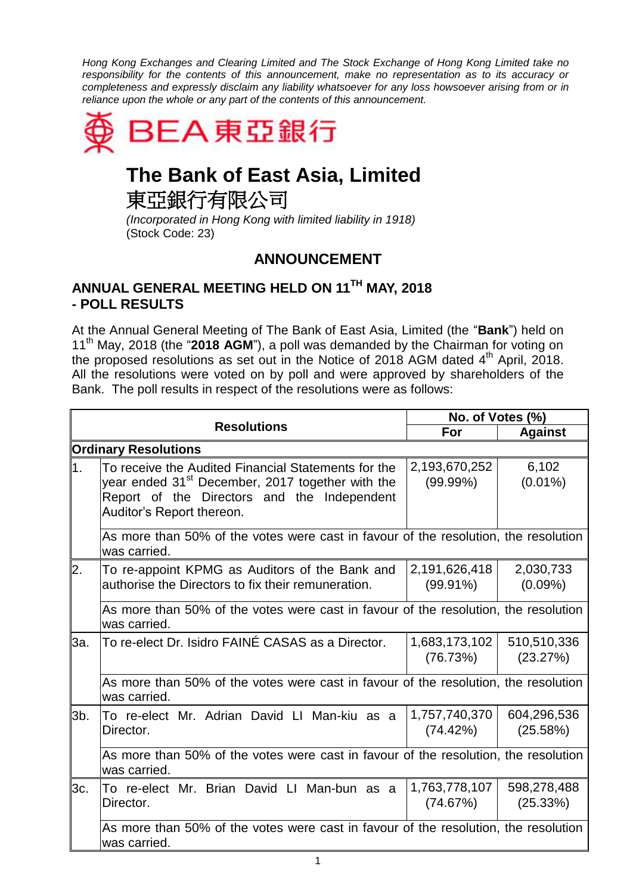*Hong Kong Exchanges and Clearing Limited and The Stock Exchange of Hong Kong Limited take no responsibility for the contents of this announcement, make no representation as to its accuracy or completeness and expressly disclaim any liability whatsoever for any loss howsoever arising from or in reliance upon the whole or any part of the contents of this announcement.*



## **The Bank of East Asia, Limited**

東亞銀行有限公司

*(Incorporated in Hong Kong with limited liability in 1918)* (Stock Code: 23)

## **ANNOUNCEMENT**

## **ANNUAL GENERAL MEETING HELD ON 11TH MAY, 2018 - POLL RESULTS**

At the Annual General Meeting of The Bank of East Asia, Limited (the "**Bank**") held on 11th May, 2018 (the "**2018 AGM**"), a poll was demanded by the Chairman for voting on the proposed resolutions as set out in the Notice of 2018 AGM dated  $4<sup>th</sup>$  April, 2018. All the resolutions were voted on by poll and were approved by shareholders of the Bank. The poll results in respect of the resolutions were as follows:

|                             |                                                                                                                                                                                                 | No. of Votes (%)             |                         |  |
|-----------------------------|-------------------------------------------------------------------------------------------------------------------------------------------------------------------------------------------------|------------------------------|-------------------------|--|
| <b>Resolutions</b>          | For                                                                                                                                                                                             | <b>Against</b>               |                         |  |
| <b>Ordinary Resolutions</b> |                                                                                                                                                                                                 |                              |                         |  |
| l1.                         | To receive the Audited Financial Statements for the<br>year ended 31 <sup>st</sup> December, 2017 together with the<br>Report of the Directors and the Independent<br>Auditor's Report thereon. | 2,193,670,252<br>$(99.99\%)$ | 6,102<br>$(0.01\%)$     |  |
|                             | As more than 50% of the votes were cast in favour of the resolution, the resolution<br>was carried.                                                                                             |                              |                         |  |
| 2.                          | To re-appoint KPMG as Auditors of the Bank and<br>authorise the Directors to fix their remuneration.                                                                                            | 2,191,626,418<br>$(99.91\%)$ | 2,030,733<br>$(0.09\%)$ |  |
|                             | As more than 50% of the votes were cast in favour of the resolution, the resolution<br>was carried.                                                                                             |                              |                         |  |
| 3a.                         | To re-elect Dr. Isidro FAINÉ CASAS as a Director.                                                                                                                                               | 1,683,173,102<br>(76.73%)    | 510,510,336<br>(23.27%) |  |
|                             | As more than 50% of the votes were cast in favour of the resolution, the resolution<br>was carried.                                                                                             |                              |                         |  |
| 3b.                         | To re-elect Mr. Adrian David LI Man-kiu as a<br>Director.                                                                                                                                       | 1,757,740,370<br>(74.42%)    | 604,296,536<br>(25.58%) |  |
|                             | As more than 50% of the votes were cast in favour of the resolution, the resolution<br>was carried.                                                                                             |                              |                         |  |
| 3c.                         | To re-elect Mr. Brian David LI Man-bun as a<br>Director.                                                                                                                                        | 1,763,778,107<br>(74.67%)    | 598,278,488<br>(25.33%) |  |
|                             | As more than 50% of the votes were cast in favour of the resolution, the resolution<br>was carried.                                                                                             |                              |                         |  |